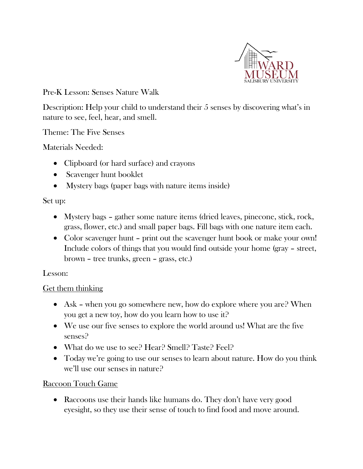

Pre-K Lesson: Senses Nature Walk

Description: Help your child to understand their 5 senses by discovering what's in nature to see, feel, hear, and smell.

Theme: The Five Senses

Materials Needed:

- Clipboard (or hard surface) and crayons
- Scavenger hunt booklet
- Mystery bags (paper bags with nature items inside)

#### Set up:

- Mystery bags gather some nature items (dried leaves, pinecone, stick, rock, grass, flower, etc.) and small paper bags. Fill bags with one nature item each.
- Color scavenger hunt print out the scavenger hunt book or make your own! Include colors of things that you would find outside your home (gray – street, brown – tree trunks, green – grass, etc.)

### Lesson:

### Get them thinking

- Ask when you go somewhere new, how do explore where you are? When you get a new toy, how do you learn how to use it?
- We use our five senses to explore the world around us! What are the five senses?
- What do we use to see? Hear? Smell? Taste? Feel?
- Today we're going to use our senses to learn about nature. How do you think we'll use our senses in nature?

### Raccoon Touch Game

• Raccoons use their hands like humans do. They don't have very good eyesight, so they use their sense of touch to find food and move around.